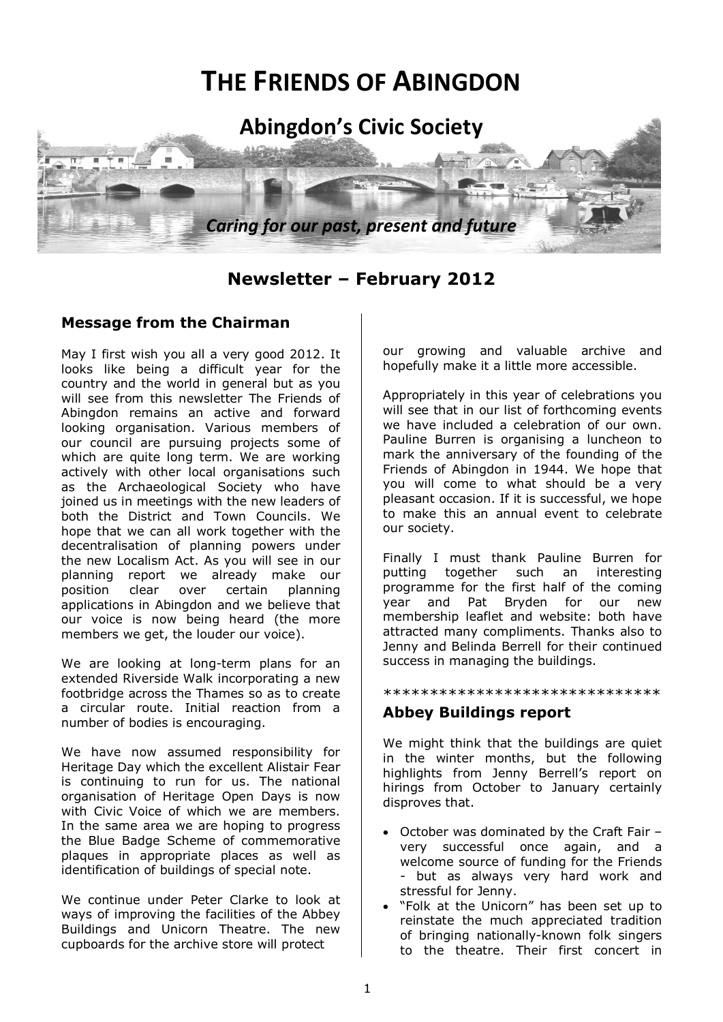

# **Newsletter – February 2012**

## **Message from the Chairman**

May I first wish you all a very good 2012. It looks like being a difficult year for the country and the world in general but as you will see from this newsletter The Friends of Abingdon remains an active and forward looking organisation. Various members of our council are pursuing projects some of which are quite long term. We are working actively with other local organisations such as the Archaeological Society who have joined us in meetings with the new leaders of both the District and Town Councils. We hope that we can all work together with the decentralisation of planning powers under the new Localism Act. As you will see in our planning report we already make our position clear over certain planning applications in Abingdon and we believe that our voice is now being heard (the more members we get, the louder our voice).

We are looking at long-term plans for an extended Riverside Walk incorporating a new footbridge across the Thames so as to create a circular route. Initial reaction from a number of bodies is encouraging.

We have now assumed responsibility for Heritage Day which the excellent Alistair Fear is continuing to run for us. The national organisation of Heritage Open Days is now with Civic Voice of which we are members. In the same area we are hoping to progress the Blue Badge Scheme of commemorative plaques in appropriate places as well as identification of buildings of special note.

We continue under Peter Clarke to look at ways of improving the facilities of the Abbey Buildings and Unicorn Theatre. The new cupboards for the archive store will protect

our growing and valuable archive and hopefully make it a little more accessible.

Appropriately in this year of celebrations you will see that in our list of forthcoming events we have included a celebration of our own. Pauline Burren is organising a luncheon to mark the anniversary of the founding of the Friends of Abingdon in 1944. We hope that you will come to what should be a very pleasant occasion. If it is successful, we hope to make this an annual event to celebrate our society.

Finally I must thank Pauline Burren for putting together such an interesting programme for the first half of the coming year and Pat Bryden for our new membership leaflet and website: both have attracted many compliments. Thanks also to Jenny and Belinda Berrell for their continued success in managing the buildings.

\*\*\*\*\*\*\*\*\*\*\*\*\*\*\*\*\*\*\*\*\*\*\*\*\*\*\*\*\*\*

## **Abbey Buildings report**

We might think that the buildings are quiet in the winter months, but the following highlights from Jenny Berrell's report on hirings from October to January certainly disproves that.

- October was dominated by the Craft Fair very successful once again, and a welcome source of funding for the Friends - but as always very hard work and stressful for Jenny.
- "Folk at the Unicorn" has been set up to reinstate the much appreciated tradition of bringing nationally-known folk singers to the theatre. Their first concert in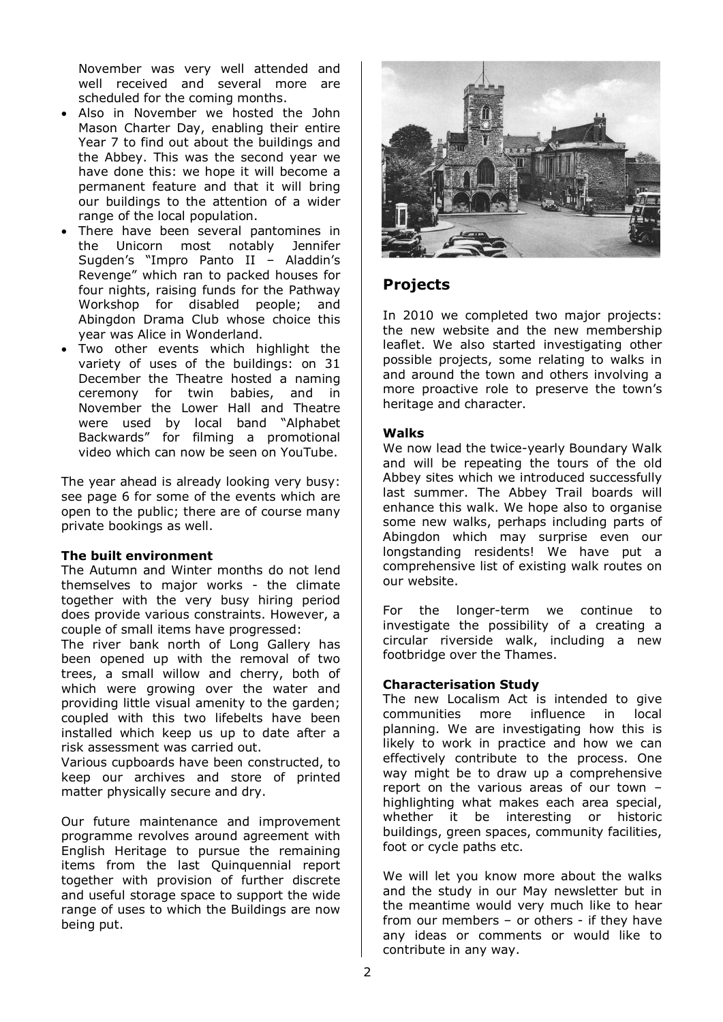November was very well attended and well received and several more are scheduled for the coming months.

- Also in November we hosted the John Mason Charter Day, enabling their entire Year 7 to find out about the buildings and the Abbey. This was the second year we have done this: we hope it will become a permanent feature and that it will bring our buildings to the attention of a wider range of the local population.
- There have been several pantomines in the Unicorn most notably Jennifer Sugden's "Impro Panto II – Aladdin's Revenge" which ran to packed houses for four nights, raising funds for the Pathway Workshop for disabled people; and Abingdon Drama Club whose choice this year was Alice in Wonderland.
- Two other events which highlight the variety of uses of the buildings: on 31 December the Theatre hosted a naming ceremony for twin babies, and in November the Lower Hall and Theatre were used by local band "Alphabet Backwards" for filming a promotional video which can now be seen on YouTube.

The year ahead is already looking very busy: see page 6 for some of the events which are open to the public; there are of course many private bookings as well.

### **The built environment**

The Autumn and Winter months do not lend themselves to major works - the climate together with the very busy hiring period does provide various constraints. However, a couple of small items have progressed:

The river bank north of Long Gallery has been opened up with the removal of two trees, a small willow and cherry, both of which were growing over the water and providing little visual amenity to the garden; coupled with this two lifebelts have been installed which keep us up to date after a risk assessment was carried out.

Various cupboards have been constructed, to keep our archives and store of printed matter physically secure and dry.

Our future maintenance and improvement programme revolves around agreement with English Heritage to pursue the remaining items from the last Quinquennial report together with provision of further discrete and useful storage space to support the wide range of uses to which the Buildings are now being put.



## **Projects**

In 2010 we completed two major projects: the new website and the new membership leaflet. We also started investigating other possible projects, some relating to walks in and around the town and others involving a more proactive role to preserve the town's heritage and character.

### **Walks**

We now lead the twice-yearly Boundary Walk and will be repeating the tours of the old Abbey sites which we introduced successfully last summer. The Abbey Trail boards will enhance this walk. We hope also to organise some new walks, perhaps including parts of Abingdon which may surprise even our longstanding residents! We have put a comprehensive list of existing walk routes on our website.

For the longer-term we continue to investigate the possibility of a creating a circular riverside walk, including a new footbridge over the Thames.

### **Characterisation Study**

The new Localism Act is intended to give communities more influence in local planning. We are investigating how this is likely to work in practice and how we can effectively contribute to the process. One way might be to draw up a comprehensive report on the various areas of our town – highlighting what makes each area special, whether it be interesting or historic buildings, green spaces, community facilities, foot or cycle paths etc.

We will let you know more about the walks and the study in our May newsletter but in the meantime would very much like to hear from our members – or others - if they have any ideas or comments or would like to contribute in any way.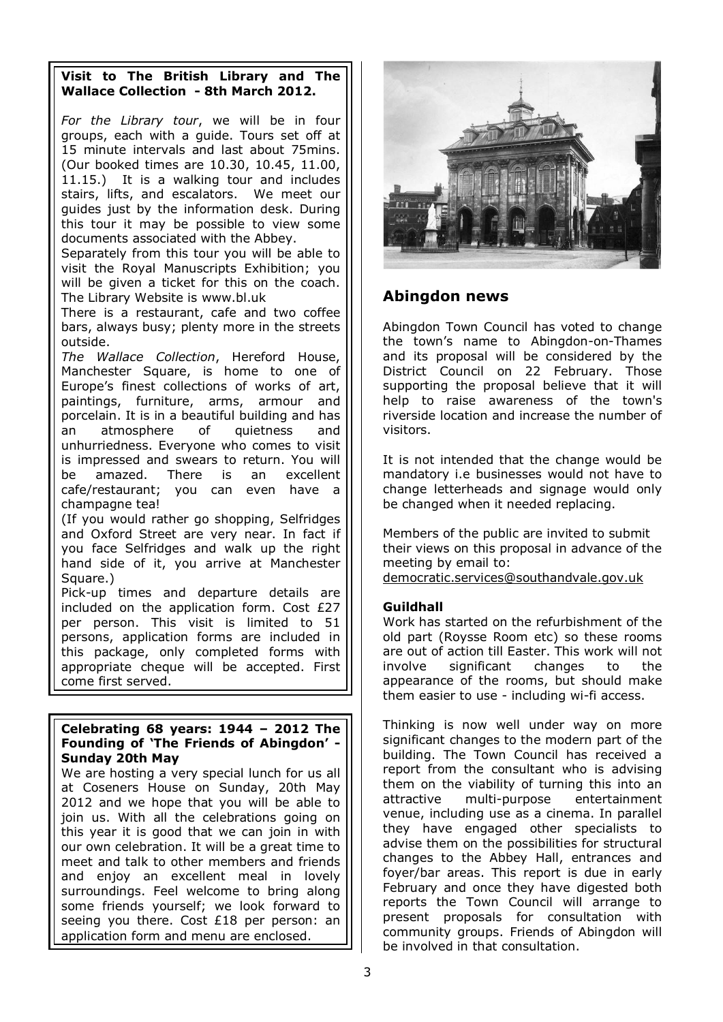## **Visit to The British Library and The Wallace Collection - 8th March 2012.**

*For the Library tour*, we will be in four groups, each with a guide. Tours set off at 15 minute intervals and last about 75mins. (Our booked times are 10.30, 10.45, 11.00, 11.15.) It is a walking tour and includes stairs, lifts, and escalators. We meet our guides just by the information desk. During this tour it may be possible to view some documents associated with the Abbey.

Separately from this tour you will be able to visit the Royal Manuscripts Exhibition; you will be given a ticket for this on the coach. The Library Website is www.bl.uk

There is a restaurant, cafe and two coffee bars, always busy; plenty more in the streets outside.

*The Wallace Collection*, Hereford House, Manchester Square, is home to one of Europe's finest collections of works of art, paintings, furniture, arms, armour and porcelain. It is in a beautiful building and has an atmosphere of quietness and unhurriedness. Everyone who comes to visit is impressed and swears to return. You will be amazed. There is an excellent cafe/restaurant; you can even have a champagne tea!

(If you would rather go shopping, Selfridges and Oxford Street are very near. In fact if you face Selfridges and walk up the right hand side of it, you arrive at Manchester Square.)

Pick-up times and departure details are included on the application form. Cost £27 per person. This visit is limited to 51 persons, application forms are included in this package, only completed forms with appropriate cheque will be accepted. First come first served.

### **Celebrating 68 years: 1944 – 2012 The Founding of 'The Friends of Abingdon' - Sunday 20th May**

We are hosting a very special lunch for us all at Coseners House on Sunday, 20th May 2012 and we hope that you will be able to join us. With all the celebrations going on this year it is good that we can join in with our own celebration. It will be a great time to meet and talk to other members and friends and enjoy an excellent meal in lovely surroundings. Feel welcome to bring along some friends yourself; we look forward to seeing you there. Cost £18 per person: an application form and menu are enclosed.



## **Abingdon news**

Abingdon Town Council has voted to change the town's name to Abingdon-on-Thames and its proposal will be considered by the District Council on 22 February. Those supporting the proposal believe that it will help to raise awareness of the town's riverside location and increase the number of visitors.

It is not intended that the change would be mandatory i.e businesses would not have to change letterheads and signage would only be changed when it needed replacing.

Members of the public are invited to submit their views on this proposal in advance of the meeting by email to: democratic.services@southandvale.gov.uk

### **Guildhall**

Work has started on the refurbishment of the old part (Roysse Room etc) so these rooms are out of action till Easter. This work will not involve significant changes to the appearance of the rooms, but should make them easier to use - including wi-fi access.

Thinking is now well under way on more significant changes to the modern part of the building. The Town Council has received a report from the consultant who is advising them on the viability of turning this into an attractive multi-purpose entertainment venue, including use as a cinema. In parallel they have engaged other specialists to advise them on the possibilities for structural changes to the Abbey Hall, entrances and foyer/bar areas. This report is due in early February and once they have digested both reports the Town Council will arrange to present proposals for consultation with community groups. Friends of Abingdon will be involved in that consultation.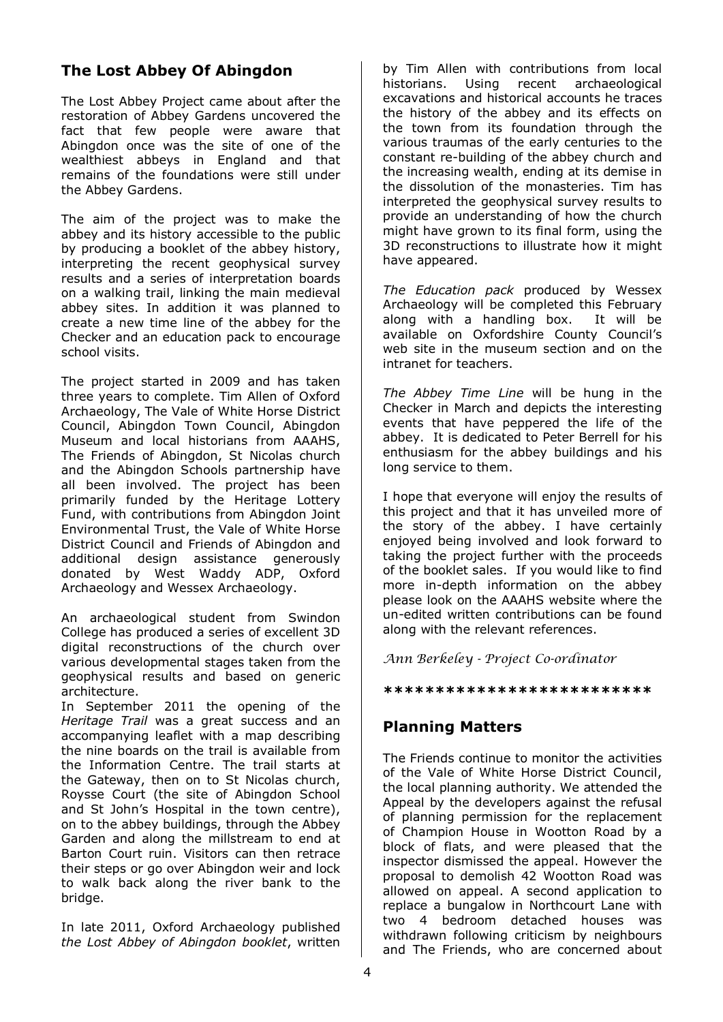# **The Lost Abbey Of Abingdon**

The Lost Abbey Project came about after the restoration of Abbey Gardens uncovered the fact that few people were aware that Abingdon once was the site of one of the wealthiest abbeys in England and that remains of the foundations were still under the Abbey Gardens.

The aim of the project was to make the abbey and its history accessible to the public by producing a booklet of the abbey history, interpreting the recent geophysical survey results and a series of interpretation boards on a walking trail, linking the main medieval abbey sites. In addition it was planned to create a new time line of the abbey for the Checker and an education pack to encourage school visits.

The project started in 2009 and has taken three years to complete. Tim Allen of Oxford Archaeology, The Vale of White Horse District Council, Abingdon Town Council, Abingdon Museum and local historians from AAAHS, The Friends of Abingdon, St Nicolas church and the Abingdon Schools partnership have all been involved. The project has been primarily funded by the Heritage Lottery Fund, with contributions from Abingdon Joint Environmental Trust, the Vale of White Horse District Council and Friends of Abingdon and additional design assistance generously donated by West Waddy ADP, Oxford Archaeology and Wessex Archaeology.

An archaeological student from Swindon College has produced a series of excellent 3D digital reconstructions of the church over various developmental stages taken from the geophysical results and based on generic architecture.

In September 2011 the opening of the *Heritage Trail* was a great success and an accompanying leaflet with a map describing the nine boards on the trail is available from the Information Centre. The trail starts at the Gateway, then on to St Nicolas church, Roysse Court (the site of Abingdon School and St John's Hospital in the town centre), on to the abbey buildings, through the Abbey Garden and along the millstream to end at Barton Court ruin. Visitors can then retrace their steps or go over Abingdon weir and lock to walk back along the river bank to the bridge.

In late 2011, Oxford Archaeology published *the Lost Abbey of Abingdon booklet*, written by Tim Allen with contributions from local historians. Using recent archaeological excavations and historical accounts he traces the history of the abbey and its effects on the town from its foundation through the various traumas of the early centuries to the constant re-building of the abbey church and the increasing wealth, ending at its demise in the dissolution of the monasteries. Tim has interpreted the geophysical survey results to provide an understanding of how the church might have grown to its final form, using the 3D reconstructions to illustrate how it might have appeared.

*The Education pack* produced by Wessex Archaeology will be completed this February along with a handling box. It will be available on Oxfordshire County Council's web site in the museum section and on the intranet for teachers.

*The Abbey Time Line* will be hung in the Checker in March and depicts the interesting events that have peppered the life of the abbey. It is dedicated to Peter Berrell for his enthusiasm for the abbey buildings and his long service to them.

I hope that everyone will enjoy the results of this project and that it has unveiled more of the story of the abbey. I have certainly enjoyed being involved and look forward to taking the project further with the proceeds of the booklet sales. If you would like to find more in-depth information on the abbey please look on the AAAHS website where the un-edited written contributions can be found along with the relevant references.

Ann Berkeley - Project Co-ordinator

### **\*\*\*\*\*\*\*\*\*\*\*\*\*\*\*\*\*\*\*\*\*\*\*\*\*\***

# **Planning Matters**

The Friends continue to monitor the activities of the Vale of White Horse District Council, the local planning authority. We attended the Appeal by the developers against the refusal of planning permission for the replacement of Champion House in Wootton Road by a block of flats, and were pleased that the inspector dismissed the appeal. However the proposal to demolish 42 Wootton Road was allowed on appeal. A second application to replace a bungalow in Northcourt Lane with two 4 bedroom detached houses was withdrawn following criticism by neighbours and The Friends, who are concerned about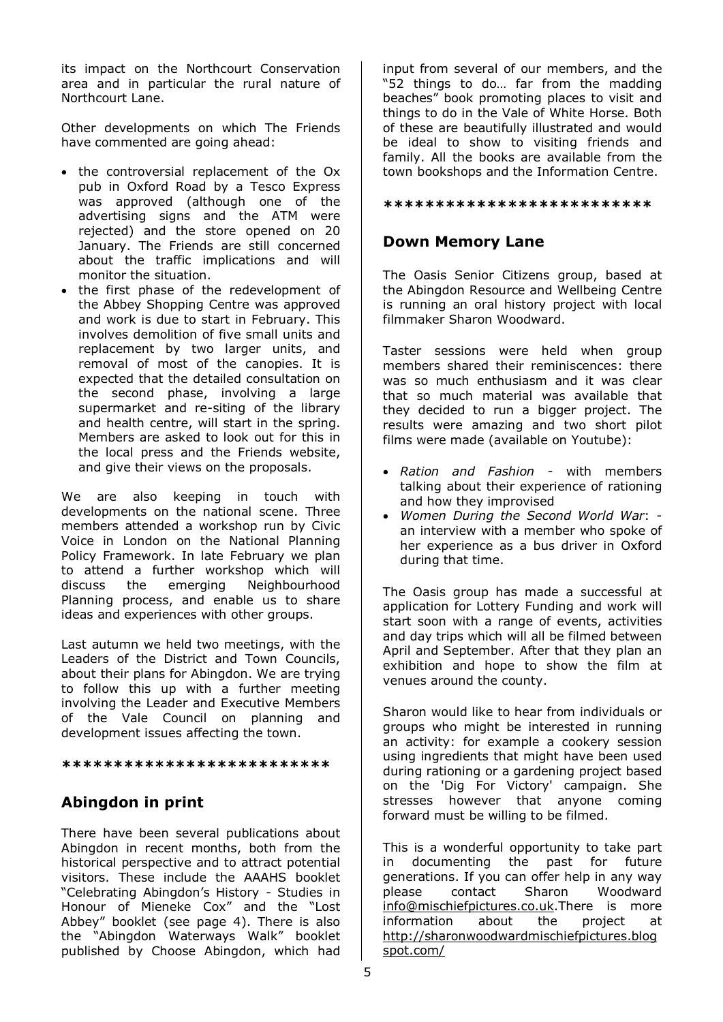its impact on the Northcourt Conservation area and in particular the rural nature of Northcourt Lane.

Other developments on which The Friends have commented are going ahead:

- the controversial replacement of the Ox pub in Oxford Road by a Tesco Express was approved (although one of the advertising signs and the ATM were rejected) and the store opened on 20 January. The Friends are still concerned about the traffic implications and will monitor the situation.
- the first phase of the redevelopment of the Abbey Shopping Centre was approved and work is due to start in February. This involves demolition of five small units and replacement by two larger units, and removal of most of the canopies. It is expected that the detailed consultation on the second phase, involving a large supermarket and re-siting of the library and health centre, will start in the spring. Members are asked to look out for this in the local press and the Friends website, and give their views on the proposals.

We are also keeping in touch with developments on the national scene. Three members attended a workshop run by Civic Voice in London on the National Planning Policy Framework. In late February we plan to attend a further workshop which will discuss the emerging Neighbourhood Planning process, and enable us to share ideas and experiences with other groups.

Last autumn we held two meetings, with the Leaders of the District and Town Councils, about their plans for Abingdon. We are trying to follow this up with a further meeting involving the Leader and Executive Members of the Vale Council on planning and development issues affecting the town.

#### **\*\*\*\*\*\*\*\*\*\*\*\*\*\*\*\*\*\*\*\*\*\*\*\*\*\***

## **Abingdon in print**

There have been several publications about Abingdon in recent months, both from the historical perspective and to attract potential visitors. These include the AAAHS booklet "Celebrating Abingdon's History - Studies in Honour of Mieneke Cox" and the "Lost Abbey" booklet (see page 4). There is also the "Abingdon Waterways Walk" booklet published by Choose Abingdon, which had

input from several of our members, and the "52 things to do… far from the madding beaches" book promoting places to visit and things to do in the Vale of White Horse. Both of these are beautifully illustrated and would be ideal to show to visiting friends and family. All the books are available from the town bookshops and the Information Centre.

#### **\*\*\*\*\*\*\*\*\*\*\*\*\*\*\*\*\*\*\*\*\*\*\*\*\*\***

## **Down Memory Lane**

The Oasis Senior Citizens group, based at the Abingdon Resource and Wellbeing Centre is running an oral history project with local filmmaker Sharon Woodward.

Taster sessions were held when group members shared their reminiscences: there was so much enthusiasm and it was clear that so much material was available that they decided to run a bigger project. The results were amazing and two short pilot films were made (available on Youtube):

- *Ration and Fashion* with members talking about their experience of rationing and how they improvised
- *Women During the Second World War*: an interview with a member who spoke of her experience as a bus driver in Oxford during that time.

The Oasis group has made a successful at application for Lottery Funding and work will start soon with a range of events, activities and day trips which will all be filmed between April and September. After that they plan an exhibition and hope to show the film at venues around the county.

Sharon would like to hear from individuals or groups who might be interested in running an activity: for example a cookery session using ingredients that might have been used during rationing or a gardening project based on the 'Dig For Victory' campaign. She stresses however that anyone coming forward must be willing to be filmed.

This is a wonderful opportunity to take part in documenting the past for future generations. If you can offer help in any way please contact Sharon Woodward info@mischiefpictures.co.uk</u>.There is more information about the project at http://sharonwoodwardmischiefpictures.blog spot.com/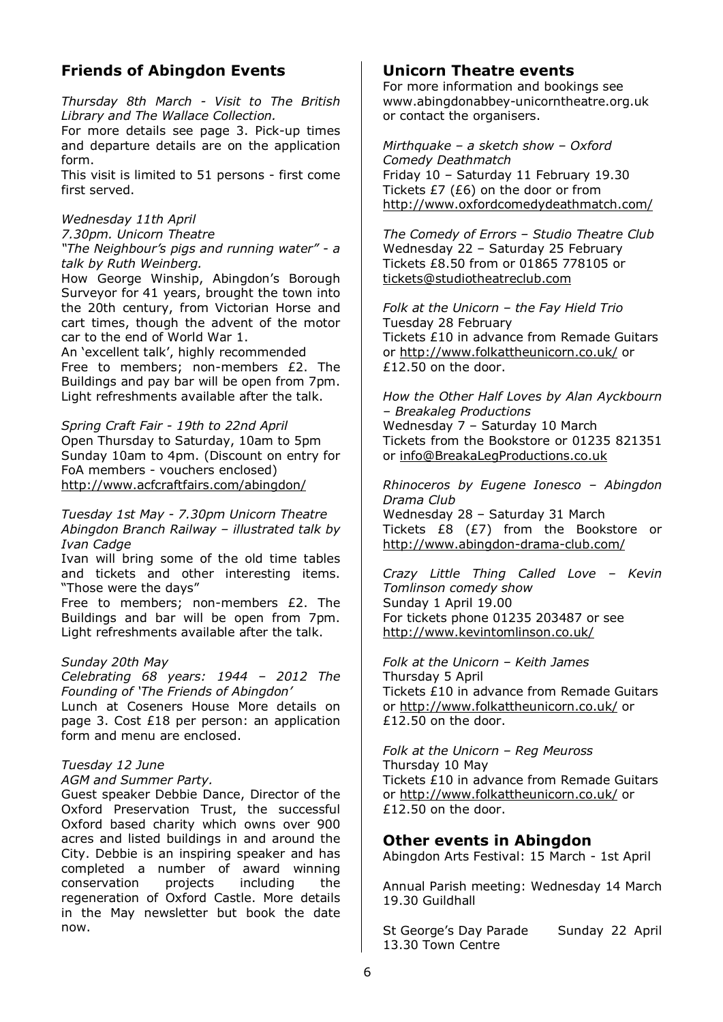# **Friends of Abingdon Events**

*Thursday 8th March - Visit to The British Library and The Wallace Collection.* 

For more details see page 3. Pick-up times and departure details are on the application form.

This visit is limited to 51 persons - first come first served.

*Wednesday 11th April* 

*7.30pm. Unicorn Theatre "The Neighbour's pigs and running water" - a talk by Ruth Weinberg.*

How George Winship, Abingdon's Borough Surveyor for 41 years, brought the town into the 20th century, from Victorian Horse and cart times, though the advent of the motor car to the end of World War 1.

An 'excellent talk', highly recommended Free to members; non-members £2. The Buildings and pay bar will be open from 7pm. Light refreshments available after the talk.

*Spring Craft Fair - 19th to 22nd April*  Open Thursday to Saturday, 10am to 5pm Sunday 10am to 4pm. (Discount on entry for FoA members - vouchers enclosed) http://www.acfcraftfairs.com/abingdon/

*Tuesday 1st May - 7.30pm Unicorn Theatre Abingdon Branch Railway – illustrated talk by Ivan Cadge* 

Ivan will bring some of the old time tables and tickets and other interesting items. "Those were the days"

Free to members; non-members £2. The Buildings and bar will be open from 7pm. Light refreshments available after the talk.

### *Sunday 20th May*

*Celebrating 68 years: 1944 – 2012 The Founding of 'The Friends of Abingdon'* 

Lunch at Coseners House More details on page 3. Cost £18 per person: an application form and menu are enclosed.

### *Tuesday 12 June*

*AGM and Summer Party.* 

Guest speaker Debbie Dance, Director of the Oxford Preservation Trust, the successful Oxford based charity which owns over 900 acres and listed buildings in and around the City. Debbie is an inspiring speaker and has completed a number of award winning conservation projects including the regeneration of Oxford Castle. More details in the May newsletter but book the date now.

## **Unicorn Theatre events**

For more information and bookings see www.abingdonabbey-unicorntheatre.org.uk or contact the organisers.

*Mirthquake – a sketch show – Oxford Comedy Deathmatch*  Friday 10 – Saturday 11 February 19.30 Tickets  $E7$  (£6) on the door or from http://www.oxfordcomedydeathmatch.com/

*The Comedy of Errors – Studio Theatre Club*  Wednesday 22 – Saturday 25 February Tickets £8.50 from or 01865 778105 or tickets@studiotheatreclub.com

*Folk at the Unicorn – the Fay Hield Trio*  Tuesday 28 February Tickets £10 in advance from Remade Guitars or http://www.folkattheunicorn.co.uk/ or £12.50 on the door.

*How the Other Half Loves by Alan Ayckbourn – Breakaleg Productions*  Wednesday 7 – Saturday 10 March Tickets from the Bookstore or 01235 821351 or info@BreakaLegProductions.co.uk

*Rhinoceros by Eugene Ionesco – Abingdon Drama Club*  Wednesday 28 – Saturday 31 March Tickets £8 (£7) from the Bookstore or http://www.abingdon-drama-club.com/

*Crazy Little Thing Called Love – Kevin Tomlinson comedy show*  Sunday 1 April 19.00 For tickets phone 01235 203487 or see http://www.kevintomlinson.co.uk/

*Folk at the Unicorn – Keith James*  Thursday 5 April Tickets £10 in advance from Remade Guitars or http://www.folkattheunicorn.co.uk/ or £12.50 on the door.

*Folk at the Unicorn – Reg Meuross*  Thursday 10 May Tickets £10 in advance from Remade Guitars or http://www.folkattheunicorn.co.uk/ or £12.50 on the door.

## **Other events in Abingdon**

Abingdon Arts Festival: 15 March - 1st April

Annual Parish meeting: Wednesday 14 March 19.30 Guildhall

St George's Day Parade Sunday 22 April 13.30 Town Centre